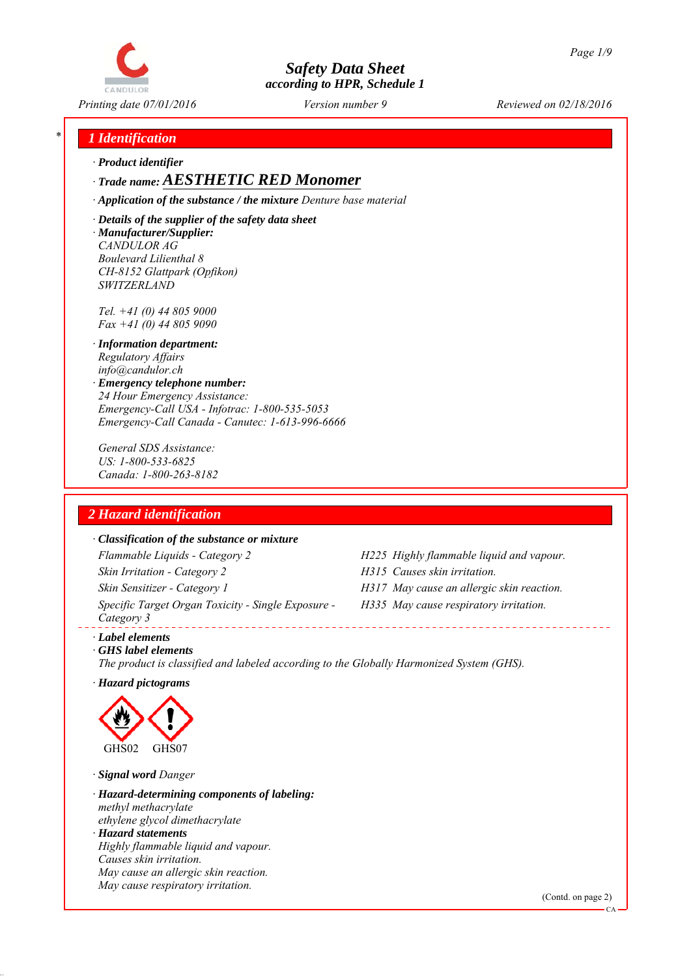

*Printing date 07/01/2016 Reviewed on 02/18/2016 Version number 9*

## *\* 1 Identification*

*∙ Product identifier*

## *∙ Trade name: AESTHETIC RED Monomer*

*∙ Application of the substance / the mixture Denture base material*

*∙ Details of the supplier of the safety data sheet ∙ Manufacturer/Supplier: CANDULOR AG Boulevard Lilienthal 8 CH-8152 Glattpark (Opfikon) SWITZERLAND*

*Tel. +41 (0) 44 805 9000 Fax +41 (0) 44 805 9090*

- *∙ Information department: Regulatory Affairs info@candulor.ch*
- *∙ Emergency telephone number: 24 Hour Emergency Assistance: Emergency-Call USA - Infotrac: 1-800-535-5053 Emergency-Call Canada - Canutec: 1-613-996-6666*

*General SDS Assistance: US: 1-800-533-6825 Canada: 1-800-263-8182*

## *2 Hazard identification*

#### *∙ Classification of the substance or mixture*

*Flammable Liquids - Category 2 H225 Highly flammable liquid and vapour. Skin Irritation - Category 2 H315 Causes skin irritation. Skin Sensitizer - Category 1 H317 May cause an allergic skin reaction. Specific Target Organ Toxicity - Single Exposure - Category 3* 

- 
- 
- *H335 May cause respiratory irritation.*

*∙ Label elements*

*∙ GHS label elements The product is classified and labeled according to the Globally Harmonized System (GHS).*

*∙ Hazard pictograms*



*∙ Signal word Danger*

*∙ Hazard-determining components of labeling: methyl methacrylate ethylene glycol dimethacrylate ∙ Hazard statements Highly flammable liquid and vapour. Causes skin irritation. May cause an allergic skin reaction. May cause respiratory irritation.*

(Contd. on page 2)

CA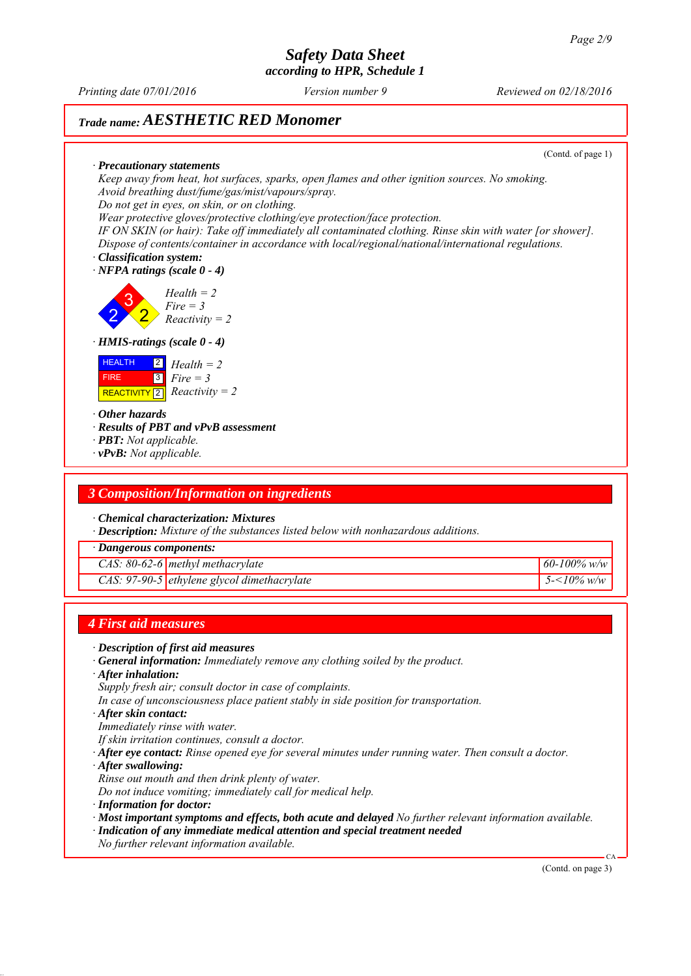*Printing date 07/01/2016 Reviewed on 02/18/2016 Version number 9*

# *Trade name: AESTHETIC RED Monomer*

(Contd. of page 1)

*∙ Precautionary statements Keep away from heat, hot surfaces, sparks, open flames and other ignition sources. No smoking. Avoid breathing dust/fume/gas/mist/vapours/spray. Do not get in eyes, on skin, or on clothing.*

*Wear protective gloves/protective clothing/eye protection/face protection.*

*IF ON SKIN (or hair): Take off immediately all contaminated clothing. Rinse skin with water [or shower]. Dispose of contents/container in accordance with local/regional/national/international regulations.*

*∙ Classification system:*

*∙ NFPA ratings (scale 0 - 4)*

2 3 2 *Health = 2 Fire = 3 Reactivity = 2*

*∙ HMIS-ratings (scale 0 - 4)*



*∙ Other hazards*

*∙ Results of PBT and vPvB assessment*

- *∙ PBT: Not applicable.*
- *∙ vPvB: Not applicable.*

#### *3 Composition/Information on ingredients*

*∙ Chemical characterization: Mixtures*

*∙ Description: Mixture of the substances listed below with nonhazardous additions.*

*∙ Dangerous components:*

*CAS: 80-62-6 methyl methacrylate 60-100% w/w*

*CAS: 97-90-5 ethylene glycol dimethacrylate 5-<10% w/w*

#### *4 First aid measures*

- *∙ Description of first aid measures*
- *∙ General information: Immediately remove any clothing soiled by the product.*
- *∙ After inhalation:*
- *Supply fresh air; consult doctor in case of complaints.*
- *In case of unconsciousness place patient stably in side position for transportation.*
- *∙ After skin contact:*
- *Immediately rinse with water.*
- *If skin irritation continues, consult a doctor.*
- *∙ After eye contact: Rinse opened eye for several minutes under running water. Then consult a doctor.*
- *∙ After swallowing:*
- *Rinse out mouth and then drink plenty of water.*
- *Do not induce vomiting; immediately call for medical help.*
- *∙ Information for doctor:*
- *∙ Most important symptoms and effects, both acute and delayed No further relevant information available.*
- *∙ Indication of any immediate medical attention and special treatment needed*
- *No further relevant information available.*

(Contd. on page 3)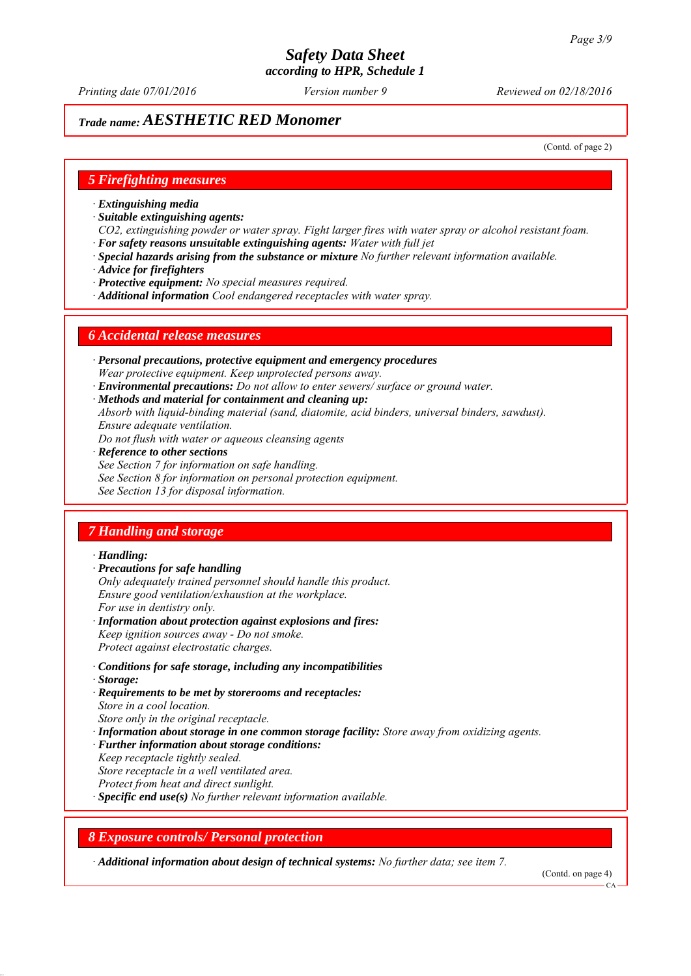*Printing date 07/01/2016 Reviewed on 02/18/2016 Version number 9*

## *Trade name: AESTHETIC RED Monomer*

(Contd. of page 2)

#### *5 Firefighting measures*

- *∙ Extinguishing media*
- *∙ Suitable extinguishing agents:*
- *CO2, extinguishing powder or water spray. Fight larger fires with water spray or alcohol resistant foam. ∙ For safety reasons unsuitable extinguishing agents: Water with full jet*
- *∙ Special hazards arising from the substance or mixture No further relevant information available.*
- *∙ Advice for firefighters*
- *∙ Protective equipment: No special measures required.*
- *∙ Additional information Cool endangered receptacles with water spray.*

#### *6 Accidental release measures*

- *∙ Personal precautions, protective equipment and emergency procedures Wear protective equipment. Keep unprotected persons away.*
- *∙ Environmental precautions: Do not allow to enter sewers/ surface or ground water.*
- *∙ Methods and material for containment and cleaning up:*
- *Absorb with liquid-binding material (sand, diatomite, acid binders, universal binders, sawdust). Ensure adequate ventilation.*
- *Do not flush with water or aqueous cleansing agents*
- *∙ Reference to other sections*
- *See Section 7 for information on safe handling.*
- *See Section 8 for information on personal protection equipment.*
- *See Section 13 for disposal information.*

### *7 Handling and storage*

#### *∙ Handling:*

- *∙ Precautions for safe handling*
- *Only adequately trained personnel should handle this product. Ensure good ventilation/exhaustion at the workplace. For use in dentistry only.*
- *∙ Information about protection against explosions and fires: Keep ignition sources away - Do not smoke. Protect against electrostatic charges.*
- *∙ Conditions for safe storage, including any incompatibilities*
- *∙ Storage:*
- *∙ Requirements to be met by storerooms and receptacles: Store in a cool location. Store only in the original receptacle.*
- *∙ Information about storage in one common storage facility: Store away from oxidizing agents.*
- *∙ Further information about storage conditions:*
- *Keep receptacle tightly sealed.*
- *Store receptacle in a well ventilated area.*
- *Protect from heat and direct sunlight.*
- *∙ Specific end use(s) No further relevant information available.*

#### *8 Exposure controls/ Personal protection*

*∙ Additional information about design of technical systems: No further data; see item 7.*

(Contd. on page 4)

 $CA$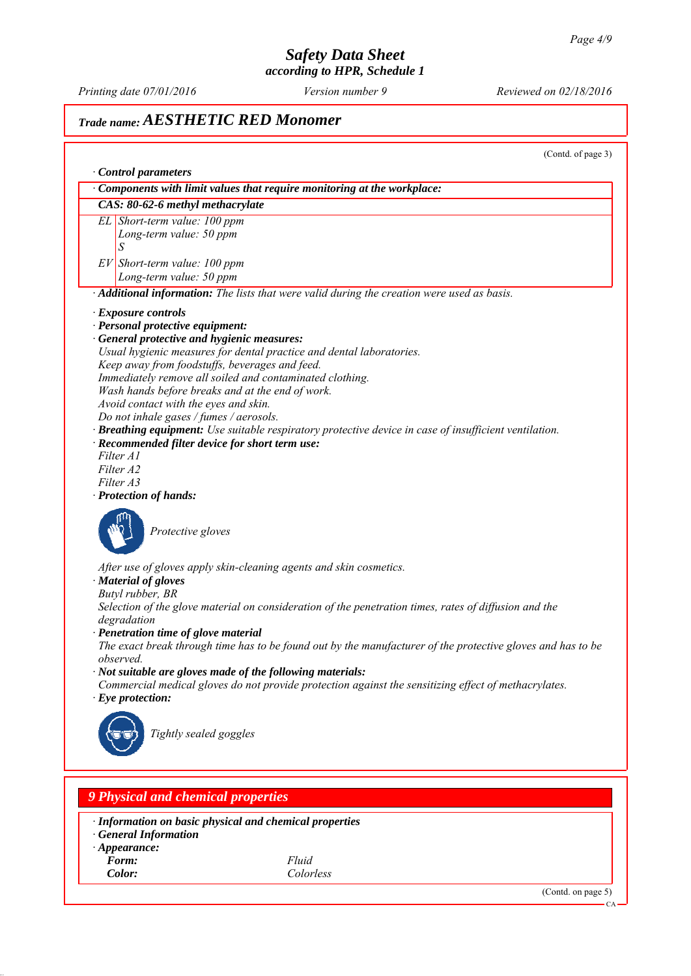*Printing date 07/01/2016 Reviewed on 02/18/2016 Version number 9*

## *Trade name: AESTHETIC RED Monomer*

(Contd. of page 3) *∙ Control parameters ∙ Components with limit values that require monitoring at the workplace: CAS: 80-62-6 methyl methacrylate EL Short-term value: 100 ppm Long-term value: 50 ppm S EV Short-term value: 100 ppm Long-term value: 50 ppm ∙ Additional information: The lists that were valid during the creation were used as basis. ∙ Exposure controls ∙ Personal protective equipment: ∙ General protective and hygienic measures: Usual hygienic measures for dental practice and dental laboratories. Keep away from foodstuffs, beverages and feed. Immediately remove all soiled and contaminated clothing. Wash hands before breaks and at the end of work. Avoid contact with the eyes and skin. Do not inhale gases / fumes / aerosols. ∙ Breathing equipment: Use suitable respiratory protective device in case of insufficient ventilation. ∙ Recommended filter device for short term use: Filter A1 Filter A2 Filter A3 ∙ Protection of hands: Protective gloves After use of gloves apply skin-cleaning agents and skin cosmetics. ∙ Material of gloves Butyl rubber, BR Selection of the glove material on consideration of the penetration times, rates of diffusion and the degradation ∙ Penetration time of glove material The exact break through time has to be found out by the manufacturer of the protective gloves and has to be observed. ∙ Not suitable are gloves made of the following materials: Commercial medical gloves do not provide protection against the sensitizing effect of methacrylates. ∙ Eye protection: Tightly sealed goggles 9 Physical and chemical properties*

*∙ Information on basic physical and chemical properties*

- *∙ General Information*
- *∙ Appearance:*
- *Form: Fluid*
	- *Color: Colorless*

(Contd. on page 5)

CA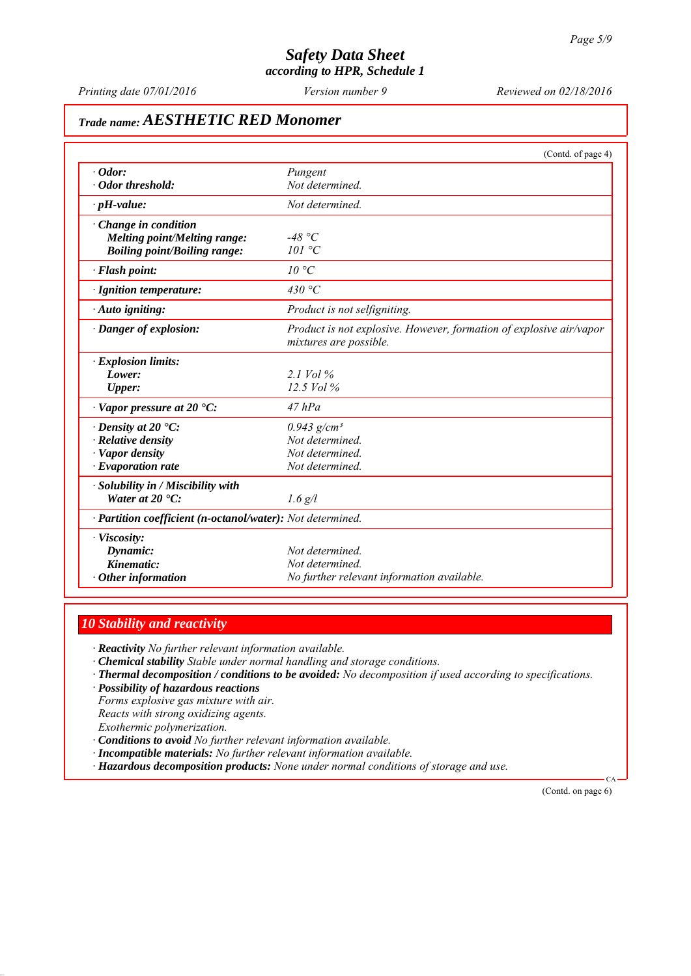*Printing date 07/01/2016 Reviewed on 02/18/2016 Version number 9*

# *Trade name: AESTHETIC RED Monomer*

|                                                            | (Contd. of page 4)                                                  |
|------------------------------------------------------------|---------------------------------------------------------------------|
| $\cdot$ Odor:                                              | Pungent                                                             |
| · Odor threshold:                                          | Not determined.                                                     |
| $\cdot$ pH-value:                                          | Not determined.                                                     |
| $\cdot$ Change in condition                                |                                                                     |
| Melting point/Melting range:                               | -48 °C                                                              |
| <b>Boiling point/Boiling range:</b>                        | 101 °C                                                              |
| · Flash point:                                             | $10^{\circ}C$                                                       |
| · Ignition temperature:                                    | 430 °C                                                              |
| · Auto igniting:                                           | Product is not selfigniting.                                        |
| · Danger of explosion:                                     | Product is not explosive. However, formation of explosive air/vapor |
|                                                            | mixtures are possible.                                              |
| $\cdot$ Explosion limits:                                  |                                                                     |
| Lower:                                                     | $2.1$ Vol $%$                                                       |
| <b>Upper:</b>                                              | $12.5$ Vol $%$                                                      |
| $\cdot$ Vapor pressure at 20 $\cdot$ C:                    | $47$ $hPa$                                                          |
| $\cdot$ Density at 20 $\cdot$ C:                           | $0.943$ g/cm <sup>3</sup>                                           |
| · Relative density                                         | Not determined.                                                     |
| · Vapor density                                            | Not determined.                                                     |
| $\cdot$ Evaporation rate                                   | Not determined.                                                     |
| · Solubility in / Miscibility with                         |                                                                     |
| Water at $20^{\circ}$ C:                                   | $1.6$ g/l                                                           |
| · Partition coefficient (n-octanol/water): Not determined. |                                                                     |
| · Viscosity:                                               |                                                                     |
| Dynamic:                                                   | Not determined.                                                     |
| Kinematic:                                                 | Not determined.                                                     |
| $\cdot$ Other information                                  | No further relevant information available.                          |

## *10 Stability and reactivity*

*∙ Reactivity No further relevant information available.*

- *∙ Chemical stability Stable under normal handling and storage conditions.*
- *∙ Thermal decomposition / conditions to be avoided: No decomposition if used according to specifications.*
- *∙ Possibility of hazardous reactions*

*Forms explosive gas mixture with air. Reacts with strong oxidizing agents. Exothermic polymerization.*

- *∙ Conditions to avoid No further relevant information available.*
- *∙ Incompatible materials: No further relevant information available.*
- *∙ Hazardous decomposition products: None under normal conditions of storage and use.*

(Contd. on page 6)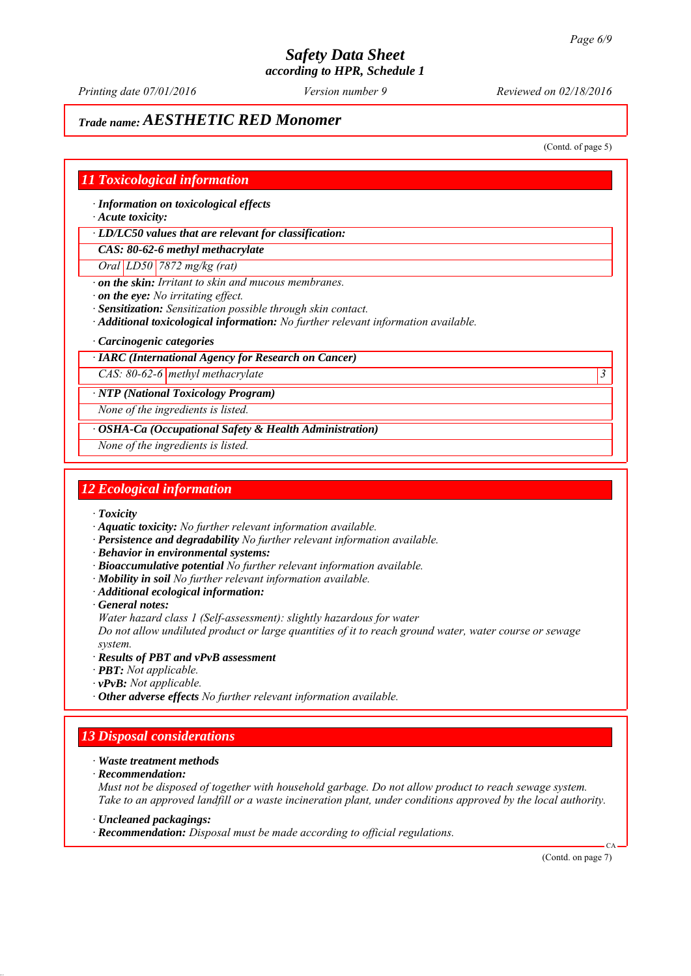*Printing date 07/01/2016 Reviewed on 02/18/2016 Version number 9*

## *Trade name: AESTHETIC RED Monomer*

(Contd. of page 5)

### *11 Toxicological information*

*∙ Information on toxicological effects*

*∙ Acute toxicity:*

*∙ LD/LC50 values that are relevant for classification:*

*CAS: 80-62-6 methyl methacrylate*

*Oral LD50 7872 mg/kg (rat)*

*∙ on the skin: Irritant to skin and mucous membranes.*

*∙ on the eye: No irritating effect.*

*∙ Sensitization: Sensitization possible through skin contact.*

*∙ Additional toxicological information: No further relevant information available.*

*∙ Carcinogenic categories*

#### *∙ IARC (International Agency for Research on Cancer)*

*CAS: 80-62-6 methyl methacrylate 3* 

*∙ NTP (National Toxicology Program)*

*None of the ingredients is listed.*

*∙ OSHA-Ca (Occupational Safety & Health Administration)*

*None of the ingredients is listed.*

### *12 Ecological information*

*∙ Toxicity*

- *∙ Aquatic toxicity: No further relevant information available.*
- *∙ Persistence and degradability No further relevant information available.*
- *∙ Behavior in environmental systems:*
- *∙ Bioaccumulative potential No further relevant information available.*
- *∙ Mobility in soil No further relevant information available.*
- *∙ Additional ecological information:*
- *∙ General notes:*

*Water hazard class 1 (Self-assessment): slightly hazardous for water*

*Do not allow undiluted product or large quantities of it to reach ground water, water course or sewage system.*

- *∙ Results of PBT and vPvB assessment*
- *∙ PBT: Not applicable.*
- *∙ vPvB: Not applicable.*
- *∙ Other adverse effects No further relevant information available.*

## *13 Disposal considerations*

- *∙ Waste treatment methods*
- *∙ Recommendation:*

*Must not be disposed of together with household garbage. Do not allow product to reach sewage system. Take to an approved landfill or a waste incineration plant, under conditions approved by the local authority.*

*∙ Uncleaned packagings:*

*∙ Recommendation: Disposal must be made according to official regulations.*

(Contd. on page 7)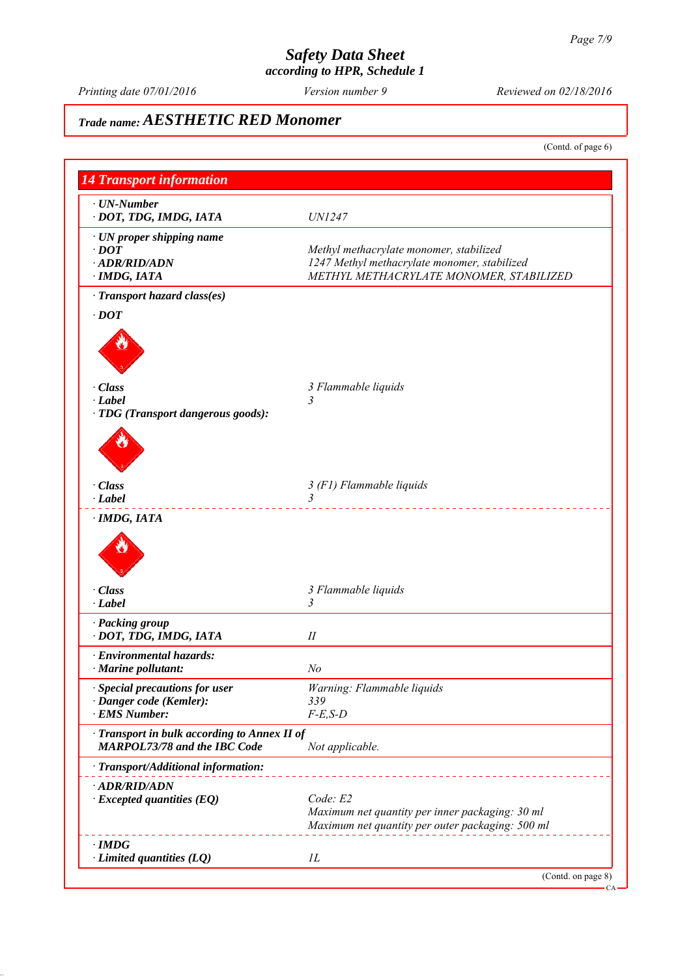*Printing date 07/01/2016 Reviewed on 02/18/2016 Version number 9*

# *Trade name: AESTHETIC RED Monomer*

(Contd. of page 6) *14 Transport information ∙ UN-Number ∙ DOT, TDG, IMDG, IATA UN1247 ∙ UN proper shipping name ∙ DOT Methyl methacrylate monomer, stabilized ∙ ADR/RID/ADN 1247 Methyl methacrylate monomer, stabilized ∙ IMDG, IATA METHYL METHACRYLATE MONOMER, STABILIZED ∙ Transport hazard class(es) ∙ DOT ∙ Class 3 Flammable liquids ∙ Label 3 ∙ TDG (Transport dangerous goods): ∙ Class 3 (F1) Flammable liquids ∙ Label 3 ∙ IMDG, IATA ∙ Class 3 Flammable liquids ∙ Label 3 ∙ Packing group ∙ DOT, TDG, IMDG, IATA II ∙ Environmental hazards: ∙ Marine pollutant: No ∙ Special precautions for user Warning: Flammable liquids ∙ Danger code (Kemler): 339 ∙ EMS Number: F-E,S-D ∙ Transport in bulk according to Annex II of MARPOL73/78 and the IBC Code Not applicable. ∙ Transport/Additional information: ∙ ADR/RID/ADN ∙ Excepted quantities (EQ) Code: E2 Maximum net quantity per inner packaging: 30 ml Maximum net quantity per outer packaging: 500 ml ∙ IMDG ∙ Limited quantities (LQ) 1L* (Contd. on page 8) CA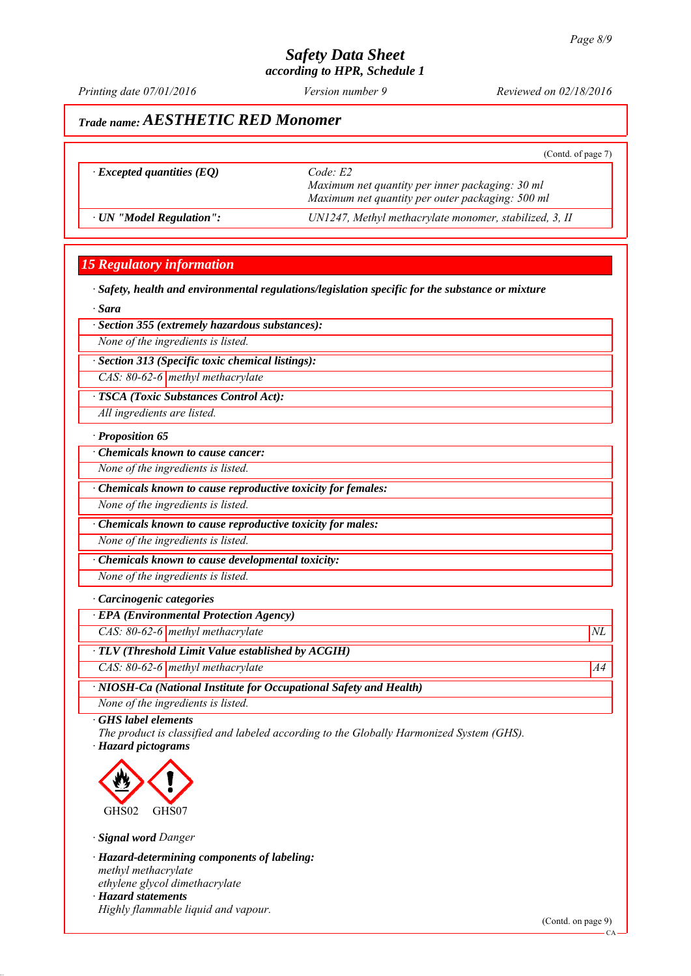*Printing date 07/01/2016 Reviewed on 02/18/2016 Version number 9*

## *Trade name: AESTHETIC RED Monomer*

|                                  | (Contd. of page 7)                                                                                             |
|----------------------------------|----------------------------------------------------------------------------------------------------------------|
| $\cdot$ Excepted quantities (EQ) | Code E2<br>Maximum net quantity per inner packaging: 30 ml<br>Maximum net quantity per outer packaging: 500 ml |
| · UN "Model Regulation":         | UN1247, Methyl methacrylate monomer, stabilized, 3, II                                                         |

## *15 Regulatory information*

*∙ Safety, health and environmental regulations/legislation specific for the substance or mixture*

*∙ Sara*

*∙ Section 355 (extremely hazardous substances):*

*None of the ingredients is listed.*

*∙ Section 313 (Specific toxic chemical listings):*

*CAS: 80-62-6 methyl methacrylate*

*∙ TSCA (Toxic Substances Control Act):*

*All ingredients are listed.*

#### *∙ Proposition 65*

*∙ Chemicals known to cause cancer:*

*None of the ingredients is listed.*

*∙ Chemicals known to cause reproductive toxicity for females:*

*None of the ingredients is listed.*

*∙ Chemicals known to cause reproductive toxicity for males:*

*None of the ingredients is listed.*

*∙ Chemicals known to cause developmental toxicity:*

*None of the ingredients is listed.*

#### *∙ Carcinogenic categories*

*∙ EPA (Environmental Protection Agency)*

*CAS: 80-62-6 methyl methacrylate*  $NL$ 

*∙ TLV (Threshold Limit Value established by ACGIH)*

*CAS: 80-62-6 methyl methacrylate* A4<sup>4</sup>

*∙ NIOSH-Ca (National Institute for Occupational Safety and Health)*

*None of the ingredients is listed.*

*∙ GHS label elements*

*The product is classified and labeled according to the Globally Harmonized System (GHS). ∙ Hazard pictograms*



*∙ Signal word Danger*

*∙ Hazard-determining components of labeling: methyl methacrylate ethylene glycol dimethacrylate ∙ Hazard statements Highly flammable liquid and vapour.*

(Contd. on page 9)